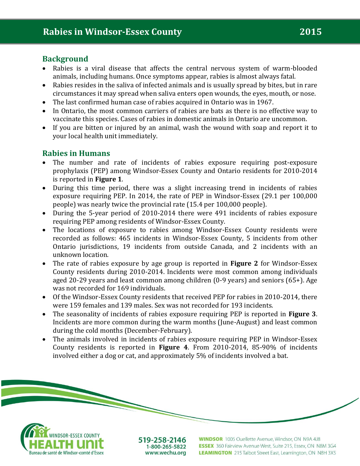### **Background**

- Rabies is a viral disease that affects the central nervous system of warm-blooded animals, including humans. Once symptoms appear, rabies is almost always fatal.
- Rabies resides in the saliva of infected animals and is usually spread by bites, but in rare circumstances it may spread when saliva enters open wounds, the eyes, mouth, or nose.
- The last confirmed human case of rabies acquired in Ontario was in 1967.
- In Ontario, the most common carriers of rabies are bats as there is no effective way to vaccinate this species. Cases of rabies in domestic animals in Ontario are uncommon.
- If you are bitten or injured by an animal, wash the wound with soap and report it to your local health unit immediately.

## **Rabies in Humans**

- The number and rate of incidents of rabies exposure requiring post-exposure prophylaxis (PEP) among Windsor-Essex County and Ontario residents for 2010-2014 is reported in **Figure 1**.
- During this time period, there was a slight increasing trend in incidents of rabies exposure requiring PEP. In 2014, the rate of PEP in Windsor-Essex (29.1 per 100,000 people) was nearly twice the provincial rate (15.4 per 100,000 people).
- During the 5-year period of 2010-2014 there were 491 incidents of rabies exposure requiring PEP among residents of Windsor-Essex County.
- The locations of exposure to rabies among Windsor-Essex County residents were recorded as follows: 465 incidents in Windsor-Essex County, 5 incidents from other Ontario jurisdictions, 19 incidents from outside Canada, and 2 incidents with an unknown location.
- The rate of rabies exposure by age group is reported in **Figure 2** for Windsor-Essex County residents during 2010-2014. Incidents were most common among individuals aged 20-29 years and least common among children (0-9 years) and seniors (65+). Age was not recorded for 169 individuals.
- Of the Windsor-Essex County residents that received PEP for rabies in 2010-2014, there were 159 females and 139 males. Sex was not recorded for 193 incidents.
- The seasonality of incidents of rabies exposure requiring PEP is reported in **Figure 3**. Incidents are more common during the warm months (June-August) and least common during the cold months (December-February).
- The animals involved in incidents of rabies exposure requiring PEP in Windsor-Essex County residents is reported in **Figure 4**. From 2010-2014, 85-90% of incidents involved either a dog or cat, and approximately 5% of incidents involved a bat.





519-258-2146 1-800-265-5822 www.wechu.org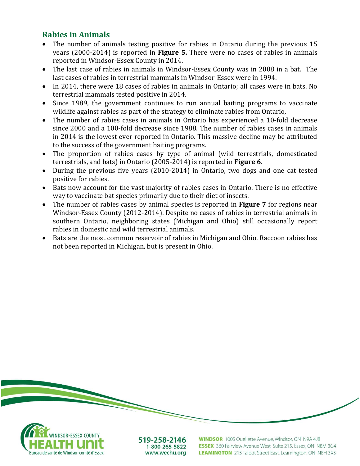## **Rabies in Animals**

Bureau de santé de Windsor-comté d'Essex

- The number of animals testing positive for rabies in Ontario during the previous 15 years (2000-2014) is reported in **Figure 5.** There were no cases of rabies in animals reported in Windsor-Essex County in 2014.
- The last case of rabies in animals in Windsor-Essex County was in 2008 in a bat. The last cases of rabies in terrestrial mammals in Windsor-Essex were in 1994.
- In 2014, there were 18 cases of rabies in animals in Ontario; all cases were in bats. No terrestrial mammals tested positive in 2014.
- Since 1989, the government continues to run annual baiting programs to vaccinate wildlife against rabies as part of the strategy to eliminate rabies from Ontario,
- The number of rabies cases in animals in Ontario has experienced a 10-fold decrease since 2000 and a 100-fold decrease since 1988. The number of rabies cases in animals in 2014 is the lowest ever reported in Ontario. This massive decline may be attributed to the success of the government baiting programs.
- The proportion of rabies cases by type of animal (wild terrestrials, domesticated terrestrials, and bats) in Ontario (2005-2014) is reported in **Figure 6**.
- During the previous five years (2010-2014) in Ontario, two dogs and one cat tested positive for rabies.
- Bats now account for the vast majority of rabies cases in Ontario. There is no effective way to vaccinate bat species primarily due to their diet of insects.
- The number of rabies cases by animal species is reported in **Figure 7** for regions near Windsor-Essex County (2012-2014). Despite no cases of rabies in terrestrial animals in southern Ontario, neighboring states (Michigan and Ohio) still occasionally report rabies in domestic and wild terrestrial animals.
- Bats are the most common reservoir of rabies in Michigan and Ohio. Raccoon rabies has not been reported in Michigan, but is present in Ohio.



LEAMINGTON 215 Talbot Street East, Leamington, ON N8H 3X5

1-800-265-5822 www.wechu.org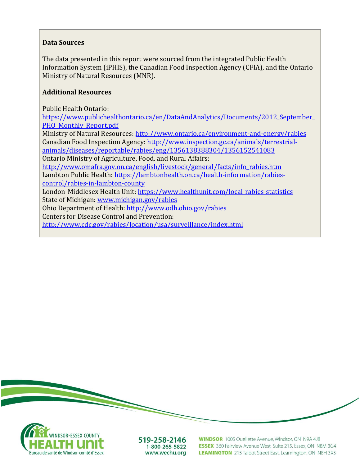#### **Data Sources**

The data presented in this report were sourced from the integrated Public Health Information System (iPHIS), the Canadian Food Inspection Agency (CFIA), and the Ontario Ministry of Natural Resources (MNR).

### **Additional Resources**

Public Health Ontario:

[https://www.publichealthontario.ca/en/DataAndAnalytics/Documents/2012\\_September\\_](https://www.publichealthontario.ca/en/DataAndAnalytics/Documents/2012_September_PHO_Monthly_Report.pdf) [PHO\\_Monthly\\_Report.pdf](https://www.publichealthontario.ca/en/DataAndAnalytics/Documents/2012_September_PHO_Monthly_Report.pdf)

Ministry of Natural Resources:<http://www.ontario.ca/environment-and-energy/rabies> Canadian Food Inspection Agency: [http://www.inspection.gc.ca/animals/terrestrial](http://www.inspection.gc.ca/animals/terrestrial-animals/diseases/reportable/rabies/eng/1356138388304/1356152541083)[animals/diseases/reportable/rabies/eng/1356138388304/1356152541083](http://www.inspection.gc.ca/animals/terrestrial-animals/diseases/reportable/rabies/eng/1356138388304/1356152541083)

Ontario Ministry of Agriculture, Food, and Rural Affairs:

[http://www.omafra.gov.on.ca/english/livestock/general/facts/info\\_rabies.htm](http://www.omafra.gov.on.ca/english/livestock/general/facts/info_rabies.htm) Lambton Public Health: [https://lambtonhealth.on.ca/health-information/rabies](https://lambtonhealth.on.ca/health-information/rabies-control/rabies-in-lambton-county)[control/rabies-in-lambton-county](https://lambtonhealth.on.ca/health-information/rabies-control/rabies-in-lambton-county)

London-Middlesex Health Unit:<https://www.healthunit.com/local-rabies-statistics> State of Michigan[: www.michigan.gov/rabies](http://www.michigan.gov/rabies)

Ohio Department of Health[: http://www.odh.ohio.gov/rabies](http://www.odh.ohio.gov/rabies)

Centers for Disease Control and Prevention:

<http://www.cdc.gov/rabies/location/usa/surveillance/index.html>



519-258-2146 1-800-265-5822 www.wechu.org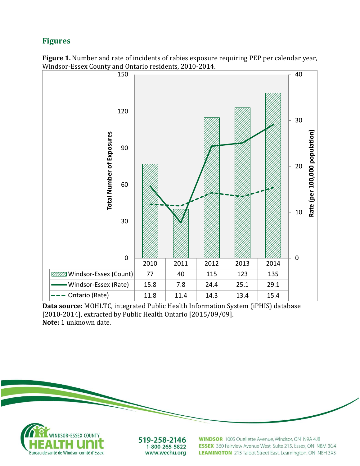# **Figures**





**Data source:** MOHLTC, integrated Public Health Information System (iPHIS) database [2010-2014], extracted by Public Health Ontario [2015/09/09]. **Note:** 1 unknown date.



519-258-2146 1-800-265-5822 www.wechu.org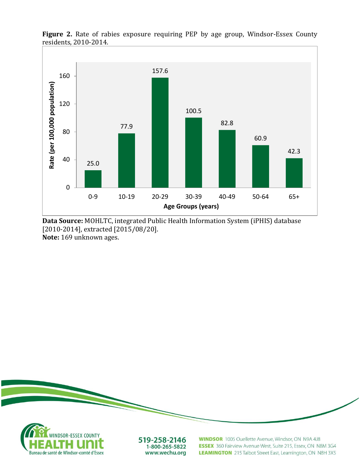

**Figure 2.** Rate of rabies exposure requiring PEP by age group, Windsor-Essex County residents, 2010-2014.

**Data Source:** MOHLTC, integrated Public Health Information System (iPHIS) database [2010-2014], extracted [2015/08/20]. **Note:** 169 unknown ages.



LEAMINGTON 215 Talbot Street East, Leamington, ON N8H 3X5

www.wechu.org

Bureau de santé de Windsor-comté d'Essex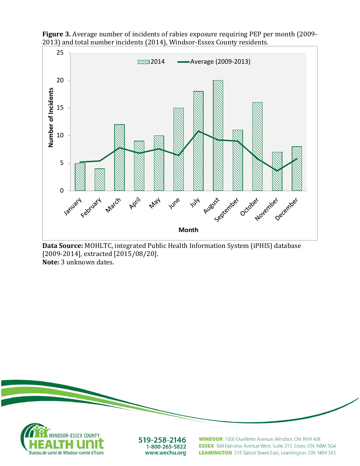

**Figure 3.** Average number of incidents of rabies exposure requiring PEP per month (2009- 2013) and total number incidents (2014), Windsor-Essex County residents.

**Data Source:** MOHLTC, integrated Public Health Information System (iPHIS) database [2009-2014], extracted [2015/08/20]. **Note:** 3 unknown dates.

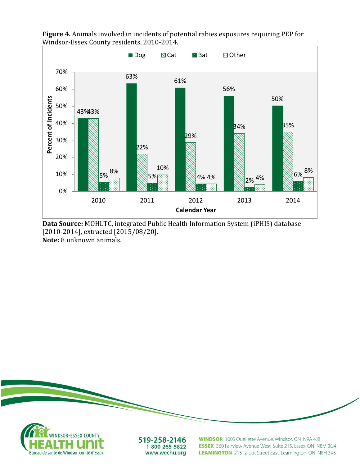

**Figure 4.** Animals involved in incidents of potential rabies exposures requiring PEP for Windsor-Essex County residents, 2010-2014.

**Data Source:** MOHLTC, integrated Public Health Information System (iPHIS) database [2010-2014], extracted [2015/08/20]. **Note:** 8 unknown animals.



1-800-265-5822 Bureau de santé de Windsor-comté d'Essex www.wechu.org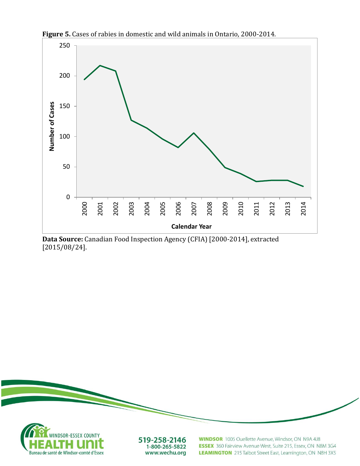

**Figure 5.** Cases of rabies in domestic and wild animals in Ontario, 2000-2014.

**Data Source:** Canadian Food Inspection Agency (CFIA) [2000-2014], extracted [2015/08/24].

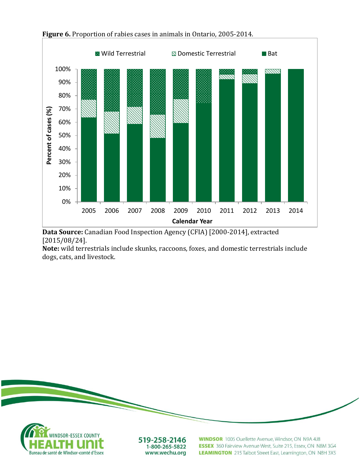

**Figure 6.** Proportion of rabies cases in animals in Ontario, 2005-2014.

**Data Source:** Canadian Food Inspection Agency (CFIA) [2000-2014], extracted [2015/08/24].

**Note:** wild terrestrials include skunks, raccoons, foxes, and domestic terrestrials include dogs, cats, and livestock.